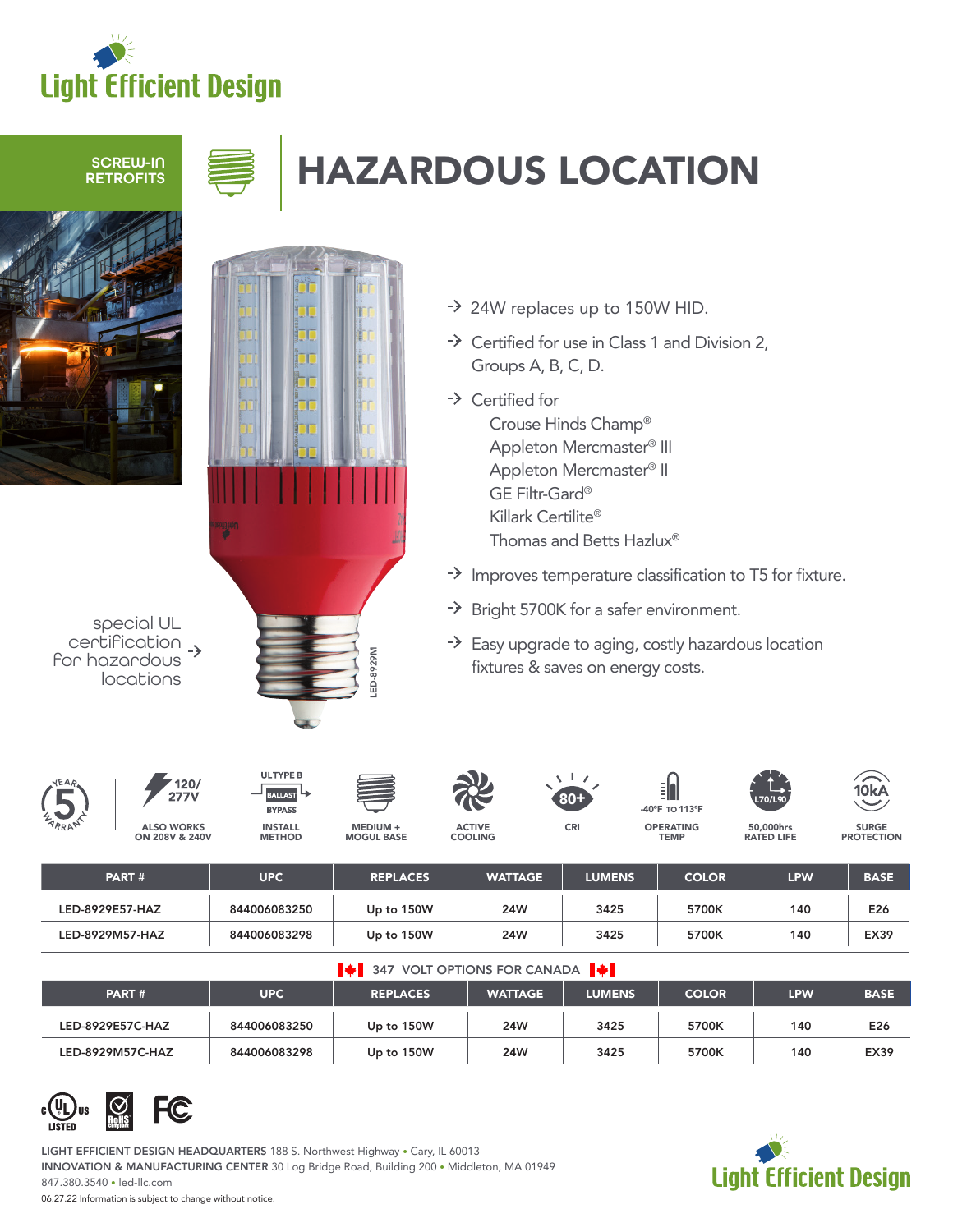

**RETROFITS** 

## SCREW-IN **SERGEW-IN**



special UL certification for hazardous locations



- 24W replaces up to 150W HID.
- Certified for use in Class 1 and Division 2, Groups A, B, C, D.
- •> Certified for Crouse Hinds Champ® Appleton Mercmaster® III Appleton Mercmaster® II GE Filtr-Gard® Killark Certilite® Thomas and Betts Hazlux®
- $\rightarrow$  Improves temperature classification to T5 for fixture.
- > Bright 5700K for a safer environment.
- $\rightarrow$  Easy upgrade to aging, costly hazardous location fixtures & saves on energy costs.

**OPERATING** TEMP TO 113°







**ULTYPE B** 

MEDIUM +

MOGUL BASE









**RATED LIFE** 

SURGE **PROTECTION** 

| PART#           | <b>UPC</b>   | <b>REPLACES</b> | <b>WATTAGE</b> | <b>LUMENS</b> | <b>COLOR</b> | <b>LPW</b> | <b>BASE</b> |
|-----------------|--------------|-----------------|----------------|---------------|--------------|------------|-------------|
| LED-8929E57-HAZ | 844006083250 | Up to 150W      | <b>24W</b>     | 3425          | 5700K        | 140        | E26         |
| LED-8929M57-HAZ | 844006083298 | Up to 150W      | <b>24W</b>     | 3425          | 5700K        | 140        | <b>EX39</b> |

### **347 VOLT OPTIONS FOR CANADA 4**

|                  |              | .               |                | .             |              |            |             |
|------------------|--------------|-----------------|----------------|---------------|--------------|------------|-------------|
| PART#            | <b>UPC</b>   | <b>REPLACES</b> | <b>WATTAGE</b> | <b>LUMENS</b> | <b>COLOR</b> | <b>LPW</b> | <b>BASE</b> |
| LED-8929E57C-HAZ | 844006083250 | Up to 150W      | <b>24W</b>     | 3425          | 5700K        | 140        | E26         |
| LED-8929M57C-HAZ | 844006083298 | Up to 150W      | 24W            | 3425          | 5700K        | 140        | <b>EX39</b> |



LIGHT EFFICIENT DESIGN HEADQUARTERS 188 S. Northwest Highway • Cary, IL 60013 INNOVATION & MANUFACTURING CENTER 30 Log Bridge Road, Building 200 • Middleton, MA 01949 847.380.3540 • led-llc.com



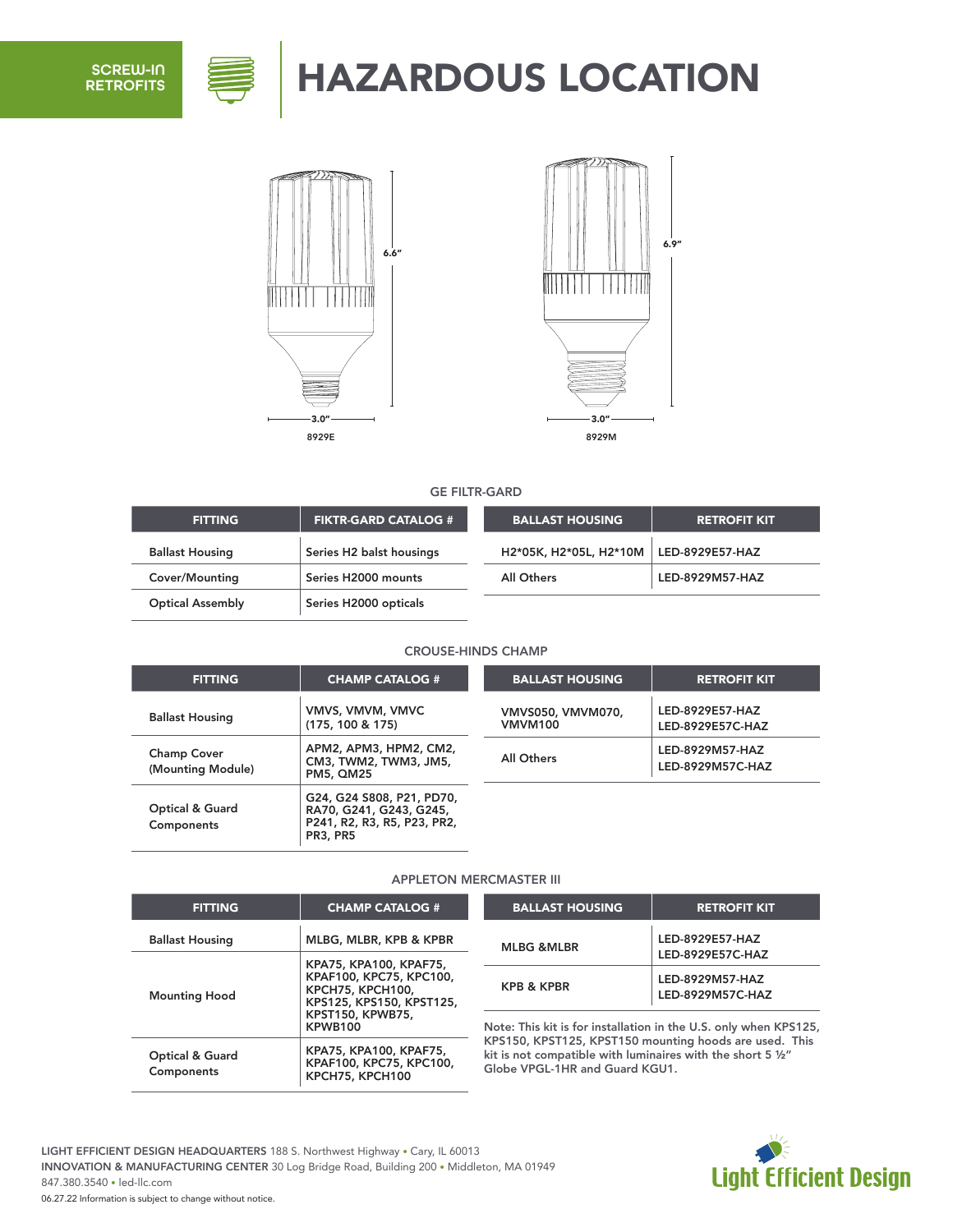

# **SCREW-IN**  $\left|\frac{1}{\text{RETROFITS}}\right|$  **HAZARDOUS LOCATION**





#### GE FILTR-GARD

| <b>FITTING</b>          | <b>FIKTR-GARD CATALOG #</b> | <b>BALLAST HOUSING</b> | <b>RETROFIT KIT</b> |
|-------------------------|-----------------------------|------------------------|---------------------|
| <b>Ballast Housing</b>  | Series H2 balst housings    | H2*05K, H2*05L, H2*10M | LED-8929E57-HAZ     |
| Cover/Mounting          | Series H2000 mounts         | <b>All Others</b>      | LED-8929M57-HAZ     |
| <b>Optical Assembly</b> | Series H2000 opticals       |                        |                     |

#### CROUSE-HINDS CHAMP

| <b>FITTING</b>                          | <b>CHAMP CATALOG #</b>                                                                                 | <b>BALLAST HOUSING.</b>      | <b>RETROFIT KIT</b>                 |
|-----------------------------------------|--------------------------------------------------------------------------------------------------------|------------------------------|-------------------------------------|
| <b>Ballast Housing</b>                  | VMVS, VMVM, VMVC<br>$(175, 100 \& 175)$                                                                | VMVS050, VMVM070,<br>VMVM100 | LED-8929E57-HAZ<br>LED-8929E57C-HAZ |
| <b>Champ Cover</b><br>(Mounting Module) | APM2, APM3, HPM2, CM2,<br>CM3, TWM2, TWM3, JM5,<br><b>PM5, QM25</b>                                    | <b>All Others</b>            | LED-8929M57-HAZ<br>LED-8929M57C-HAZ |
| Optical & Guard<br>Components           | G24, G24 S808, P21, PD70,<br>RA70, G241, G243, G245,<br>P241, R2, R3, R5, P23, PR2,<br><b>PR3, PR5</b> |                              |                                     |

#### APPLETON MERCMASTER III

| <b>FITTING</b>                                                                                                                                                         | <b>CHAMP CATALOG #</b>                                               | <b>BALLAST HOUSING</b>                                                                                                                                     | <b>RETROFIT KIT</b>                 |
|------------------------------------------------------------------------------------------------------------------------------------------------------------------------|----------------------------------------------------------------------|------------------------------------------------------------------------------------------------------------------------------------------------------------|-------------------------------------|
| <b>Ballast Housing</b>                                                                                                                                                 | MLBG, MLBR, KPB & KPBR                                               | <b>MLBG &amp;MLBR</b>                                                                                                                                      | LED-8929E57-HAZ<br>LED-8929E57C-HAZ |
| KPA75, KPA100, KPAF75,<br>KPAF100, KPC75, KPC100,<br><b>KPCH75, KPCH100,</b><br><b>Mounting Hood</b><br>KPS125, KPS150, KPST125,<br><b>KPST150, KPWB75,</b><br>KPWB100 | <b>KPB &amp; KPBR</b>                                                | LED-8929M57-HAZ<br>LED-8929M57C-HAZ                                                                                                                        |                                     |
|                                                                                                                                                                        |                                                                      | Note: This kit is for installation in the U.S. only when KPS125,                                                                                           |                                     |
| <b>Optical &amp; Guard</b><br>Components                                                                                                                               | KPA75, KPA100, KPAF75,<br>KPAF100, KPC75, KPC100,<br>KPCH75, KPCH100 | KPS150, KPST125, KPST150 mounting hoods are used. This<br>kit is not compatible with luminaires with the short 5 $1/2$ "<br>Globe VPGL-1HR and Guard KGU1. |                                     |



LIGHT EFFICIENT DESIGN HEADQUARTERS 188 S. Northwest Highway • Cary, IL 60013 INNOVATION & MANUFACTURING CENTER 30 Log Bridge Road, Building 200 • Middleton, MA 01949 847.380.3540 • led-llc.com